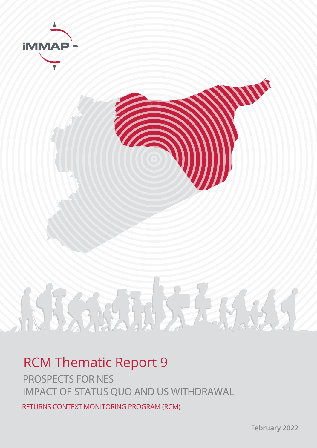

# 路海外场  $\sum_{i=1}^{n}$

## RCM Thematic Report 9

PROSPECTS FOR NES IMPACT OF STATUS QUO AND US WITHDRAWAL

RETURNS CONTEXT MONITORING PROGRAM (RCM)

**February 2022**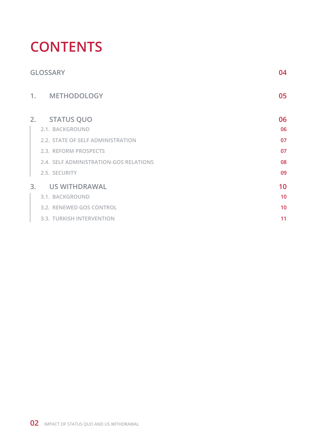## **CONTENTS**

|    | <b>GLOSSARY</b>                        | 04 |
|----|----------------------------------------|----|
|    | 1. METHODOLOGY                         | 05 |
| 2. | <b>STATUS QUO</b>                      | 06 |
|    | 2.1. BACKGROUND                        | 06 |
|    | 2.2. STATE OF SELF ADMINISTRATION      | 07 |
|    | 2.3. REFORM PROSPECTS                  | 07 |
|    | 2.4. SELF ADMINISTRATION-GOS RELATIONS | 08 |
|    | 2.5. SECURITY                          | 09 |
| 3. | <b>US WITHDRAWAL</b>                   | 10 |
|    | 3.1. BACKGROUND                        | 10 |
|    | 3.2. RENEWED GOS CONTROL               | 10 |
|    | 3.3. TURKISH INTERVENTION              | 11 |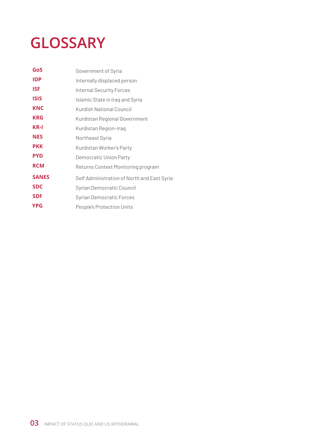## <span id="page-2-0"></span>**GLOSSARY**

| GoS          | Government of Syria                         |  |
|--------------|---------------------------------------------|--|
| IDP          | Internally displaced person                 |  |
| ISF          | <b>Internal Security Forces</b>             |  |
| <b>ISIS</b>  | Islamic State in Iraq and Syria             |  |
| <b>KNC</b>   | Kurdish National Council                    |  |
| <b>KRG</b>   | Kurdistan Regional Government               |  |
| KR-I         | Kurdistan Region-Iraq                       |  |
| <b>NES</b>   | Northeast Syria                             |  |
| <b>PKK</b>   | Kurdistan Worker's Party                    |  |
| <b>PYD</b>   | Democratic Union Party                      |  |
| <b>RCM</b>   | Returns Context Monitoring program          |  |
| <b>SANES</b> | Self Administration of North and East Syria |  |
| <b>SDC</b>   | Syrian Democratic Council                   |  |
| <b>SDF</b>   | <b>Syrian Democratic Forces</b>             |  |
| <b>YPG</b>   | People's Protection Units                   |  |
|              |                                             |  |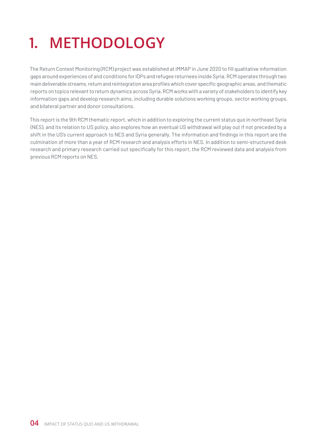## <span id="page-3-0"></span>**1. METHODOLOGY**

The Return Context Monitoring (RCM) project was established at iMMAP in June 2020 to fill qualitative information gaps around experiences of and conditions for IDPs and refugee returnees inside Syria. RCM operates through two main deliverable streams, return and reintegration area profiles which cover specific geographic areas, and thematic reports on topics relevant to return dynamics across Syria. RCM works with a variety of stakeholders to identify key information gaps and develop research aims, including durable solutions working groups, sector working groups, and bilateral partner and donor consultations.

This report is the 9th RCM thematic report, which in addition to exploring the current status quo in northeast Syria (NES), and its relation to US policy, also explores how an eventual US withdrawal will play out if not preceded by a shift in the US's current approach to NES and Syria generally. The information and findings in this report are the culmination of more than a year of RCM research and analysis efforts in NES. In addition to semi-structured desk research and primary research carried out specifically for this report, the RCM reviewed data and analysis from previous RCM reports on NES.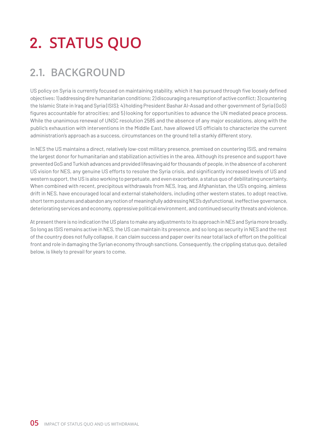## <span id="page-4-0"></span>**2. STATUS QUO**

## **2.1. BACKGROUND**

US policy on Syria is currently focused on maintaining stability, which it has pursued through five loosely defined objectives: 1) addressing dire humanitarian conditions; 2) discouraging a resumption of active conflict; 3) countering the Islamic State in Iraq and Syria (ISIS); 4) holding President Bashar Al-Assad and other government of Syria (GoS) figures accountable for atrocities; and 5) looking for opportunities to advance the UN mediated peace process. While the unanimous renewal of UNSC resolution 2585 and the absence of any major escalations, along with the public's exhaustion with interventions in the Middle East, have allowed US officials to characterize the current administration's approach as a success, circumstances on the ground tell a starkly different story.

In NES the US maintains a direct, relatively low-cost military presence, premised on countering ISIS, and remains the largest donor for humanitarian and stabilization activities in the area. Although its presence and support have prevented GoS and Turkish advances and provided lifesaving aid for thousands of people, in the absence of a coherent US vision for NES, any genuine US efforts to resolve the Syria crisis, and significantly increased levels of US and western support, the US is also working to perpetuate, and even exacerbate, a status quo of debilitating uncertainty. When combined with recent, precipitous withdrawals from NES, Iraq, and Afghanistan, the US's ongoing, aimless drift in NES, have encouraged local and external stakeholders, including other western states, to adopt reactive, short term postures and abandon any notion of meaningfully addressing NES's dysfunctional, ineffective governance, deteriorating services and economy, oppressive political environment, and continued security threats and violence.

At present there is no indication the US plans to make any adjustments to its approach in NES and Syria more broadly. So long as ISIS remains active in NES, the US can maintain its presence, and so long as security in NES and the rest of the country does not fully collapse, it can claim success and paper over its near total lack of effort on the political front and role in damaging the Syrian economy through sanctions. Consequently, the crippling status quo, detailed below, is likely to prevail for years to come.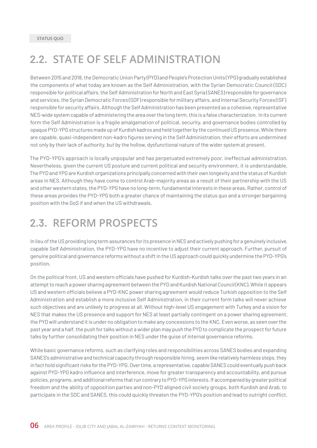### <span id="page-5-0"></span>**2.2. STATE OF SELF ADMINISTRATION**

Between 2015 and 2018, the Democratic Union Party (PYD) and People's Protection Units (YPG) gradually established the components of what today are known as the Self Administration, with the Syrian Democratic Council (SDC) responsible for political affairs, the Self Administration for North and East Syria (SANES) responsible for governance and services, the Syrian Democratic Forces (SDF) responsible for military affairs, and Internal Security Forces (ISF) responsible for security affairs. Although the Self Administration has been presented as a cohesive, representative NES-wide system capable of administering the area over the long term, this is a false characterization. In its current form the Self Administration is a fragile amalgamation of political, security, and governance bodies controlled by opaque PYD-YPG structures made up of Kurdish kadros and held together by the continued US presence. While there are capable, quasi-independent non-kadro figures serving in the Self Administration, their efforts are undermined not only by their lack of authority, but by the hollow, dysfunctional nature of the wider system at present.

The PYD-YPG's approach is locally unpopular and has perpetuated extremely poor, ineffectual administration. Nevertheless, given the current US posture and current political and security environment, it is understandable. The PYD and YPG are Kurdish organizations principally concerned with their own longevity and the status of Kurdish areas in NES. Although they have come to control Arab-majority areas as a result of their partnership with the US and other western states, the PYD-YPG have no long-term, fundamental interests in these areas. Rather, control of these areas provides the PYD-YPG both a greater chance of maintaining the status quo and a stronger bargaining position with the GoS if and when the US withdrawals.

### **2.3. REFORM PROSPECTS**

In lieu of the US providing long term assurances for its presence in NES and actively pushing for a genuinely inclusive, capable Self Administration, the PYD-YPG have no incentive to adjust their current approach. Further, pursuit of genuine political and governance reforms without a shift in the US approach could quickly undermine the PYD-YPG's position.

On the political front, US and western officials have pushed for Kurdish-Kurdish talks over the past two years in an attempt to reach a power sharing agreement between the PYD and Kurdish National Council (KNC). While it appears US and western officials believe a PYD-KNC power sharing agreement would reduce Turkish opposition to the Self Administration and establish a more inclusive Self Administration, in their current form talks will never achieve such objectives and are unlikely to progress at all. Without high-level US engagement with Turkey and a vision for NES that makes the US presence and support for NES at least partially contingent on a power sharing agreement, the PYD will understand it is under no obligation to make any concessions to the KNC. Even worse, as seen over the past year and a half, the push for talks without a wider plan may push the PYD to complicate the prospect for future talks by further consolidating their position in NES under the guise of internal governance reforms.

While basic governance reforms, such as clarifying roles and responsibilities across SANES bodies and expanding SANES's administrative and technical capacity through responsible hiring, seem like relatively harmless steps, they in fact hold significant risks for the PYD-YPG. Over time, a representative, capable SANES could eventually push back against PYD-YPG kadro influence and interference, move for greater transparency and accountability, and pursue policies, programs, and additional reforms that run contrary to PYD-YPG interests. If accompanied by greater political freedom and the ability of opposition parties and non-PYD aligned civil society groups, both Kurdish and Arab, to participate in the SDC and SANES, this could quickly threaten the PYD-YPG's position and lead to outright conflict.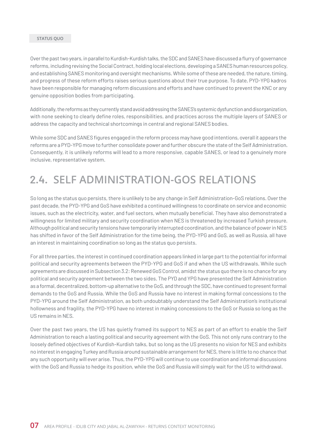#### <span id="page-6-0"></span>**Status Quo**

Over the past two years, in parallel to Kurdish-Kurdish talks, the SDC and SANES have discussed a flurry of governance reforms, including revising the Social Contract, holding local elections, developing a SANES human resources policy, and establishing SANES monitoring and oversight mechanisms. While some of these are needed, the nature, timing, and progress of these reform efforts raises serious questions about their true purpose. To date, PYD-YPG kadros have been responsible for managing reform discussions and efforts and have continued to prevent the KNC or any genuine opposition bodies from participating.

Additionally, the reforms as they currently stand avoid addressing the SANES's systemic dysfunction and disorganization, with none seeking to clearly define roles, responsibilities, and practices across the multiple layers of SANES or address the capacity and technical shortcomings in central and regional SANES bodies.

While some SDC and SANES figures engaged in the reform process may have good intentions, overall it appears the reforms are a PYD-YPG move to further consolidate power and further obscure the state of the Self Administration. Consequently, it is unlikely reforms will lead to a more responsive, capable SANES, or lead to a genuinely more inclusive, representative system.

### **2.4. SELF ADMINISTRATION-GOS RELATIONS**

So long as the status quo persists, there is unlikely to be any change in Self Administration-GoS relations. Over the past decade, the PYD-YPG and GoS have exhibited a continued willingness to coordinate on service and economic issues, such as the electricity, water, and fuel sectors, when mutually beneficial. They have also demonstrated a willingness for limited military and security coordination when NES is threatened by increased Turkish pressure. Although political and security tensions have temporarily interrupted coordination, and the balance of power in NES has shifted in favor of the Self Administration for the time being, the PYD-YPG and GoS, as well as Russia, all have an interest in maintaining coordination so long as the status quo persists.

For all three parties, the interest in continued coordination appears linked in large part to the potential for informal political and security agreements between the PYD-YPG and GoS if and when the US withdrawals. While such agreements are discussed in Subsection 3.2: Renewed GoS Control, amidst the status quo there is no chance for any political and security agreement between the two sides. The PYD and YPG have presented the Self Administration as a formal, decentralized, bottom-up alternative to the GoS, and through the SDC, have continued to present formal demands to the GoS and Russia. While the GoS and Russia have no interest in making formal concessions to the PYD-YPG around the Self Administration, as both undoubtably understand the Self Administration's institutional hollowness and fragility, the PYD-YPG have no interest in making concessions to the GoS or Russia so long as the US remains in NES.

Over the past two years, the US has quietly framed its support to NES as part of an effort to enable the Self Administration to reach a lasting political and security agreement with the GoS. This not only runs contrary to the loosely defined objectives of Kurdish-Kurdish talks, but so long as the US presents no vision for NES and exhibits no interest in engaging Turkey and Russia around sustainable arrangement for NES, there is little to no chance that any such opportunity will ever arise. Thus, the PYD-YPG will continue to use coordination and informal discussions with the GoS and Russia to hedge its position, while the GoS and Russia will simply wait for the US to withdrawal.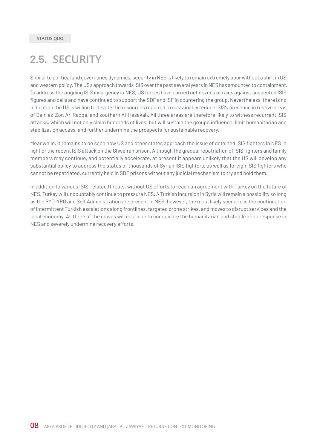### <span id="page-7-0"></span>**2.5. SECURITY**

Similar to political and governance dynamics, security in NES is likely to remain extremely poor without a shift in US and western policy. The US's approach towards ISIS over the past several years in NES has amounted to containment. To address the ongoing ISIS insurgency in NES, US forces have carried out dozens of raids against suspected ISIS figures and cells and have continued to support the SDF and ISF in countering the group. Nevertheless, there is no indication the US is willing to devote the resources required to sustainably reduce ISIS's presence in restive areas of Deir-ez-Zor, Ar-Raqqa, and southern Al-Hasakah. All three areas are therefore likely to witness recurrent ISIS attacks, which will not only claim hundreds of lives, but will sustain the group's influence, limit humanitarian and stabilization access, and further undermine the prospects for sustainable recovery.

Meanwhile, it remains to be seen how US and other states approach the issue of detained ISIS fighters in NES in light of the recent ISIS attack on the Ghweiran prison. Although the gradual repatriation of ISIS fighters and family members may continue, and potentially accelerate, at present it appears unlikely that the US will develop any substantial policy to address the status of thousands of Syrian ISIS fighters, as well as foreign ISIS fighters who cannot be repatriated, currently held in SDF prisons without any judicial mechanism to try and hold them.

In addition to various ISIS-related threats, without US efforts to reach an agreement with Turkey on the future of NES, Turkey will undoubtably continue to pressure NES. A Turkish incursion in Syria will remain a possibility so long as the PYD-YPG and Self Administration are present in NES, however, the most likely scenario is the continuation of intermittent Turkish escalations along frontlines, targeted drone strikes, and moves to disrupt services and the local economy. All three of the moves will continue to complicate the humanitarian and stabilization response in NES and severely undermine recovery efforts.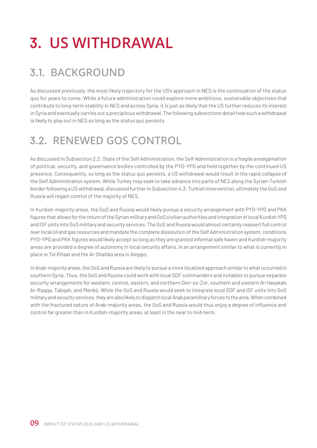## <span id="page-8-0"></span>**3. US WITHDRAWAL**

## **3.1. BACKGROUND**

As discussed previously, the most likely trajectory for the US's approach in NES is the continuation of the status quo for years to come. While a future administration could explore more ambitious, sustainable objectives that contribute to long-term stability in NES and across Syria, it is just as likely that the US further reduces its interest in Syria and eventually carries out a precipitous withdrawal. The following subsections detail how such a withdrawal is likely to play out in NES so long as the status quo persists.

## **3.2. RENEWED GOS CONTROL**

As discussed in Subsection 2.2: State of the Self Administration, the Self Administration is a fragile amalgamation of political, security, and governance bodies controlled by the PYD-YPG and held together by the continued US presence. Consequently, so long as the status quo persists, a US withdrawal would result in the rapid collapse of the Self Administration system. While Turkey may seek to take advance into parts of NES along the Syrian-Turkish border following a US withdrawal, discussed further in Subsection 4.3: Turkish Intervention, ultimately the GoS and Russia will regain control of the majority of NES.

In Kurdish-majority areas, the GoS and Russia would likely pursue a security arrangement with PYD-YPG and PKK figures that allows for the return of the Syrian military and GoS civilian authorities and integration of local Kurdish YPG and ISF units into GoS military and security services. The GoS and Russia would almost certainly reassert full control over local oil and gas resources and mandate the complete dissolution of the Self Administration system, conditions PYD-YPG and PKK figures would likely accept so long as they are granted informal safe haven and Kurdish-majority areas are provided a degree of autonomy in local security affairs, in an arrangement similar to what is currently in place in Tel Rifaat and the Al-Shahba area in Aleppo.

In Arab-majority areas, the GoS and Russia are likely to pursue a more localized approach similar to what occurred in southern Syria. Thus, the GoS and Russia could work with local SDF commanders and notables to pursue separate security arrangements for western, central, eastern, and northern Deir-ez-Zor, southern and eastern Al-Hasakah, Ar-Raqqa, Tabqah, and Menbij. While the GoS and Russia would seek to integrate local SDF and ISF units into GoS military and security services, they are also likely to dispatch local Arab paramilitary forces to the area. When combined with the fractured nature of Arab-majority areas, the GoS and Russia would thus enjoy a degree of influence and control far greater than in Kurdish-majority areas, at least in the near to mid-term.